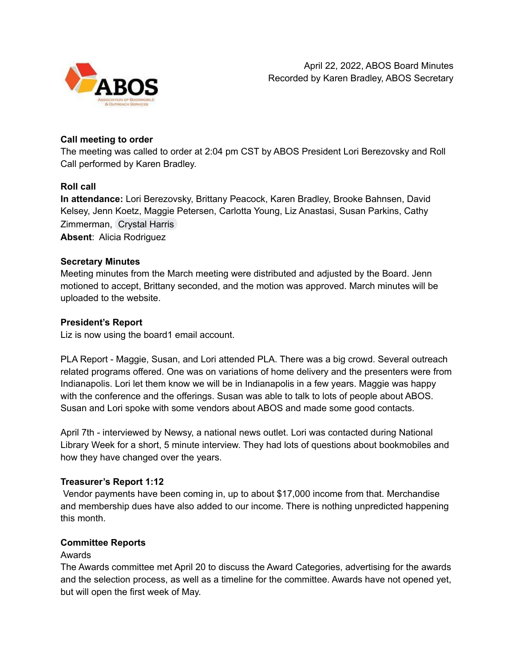

# **Call meeting to order**

The meeting was called to order at 2:04 pm CST by ABOS President Lori Berezovsky and Roll Call performed by Karen Bradley.

# **Roll call**

**In attendance:** Lori Berezovsky, Brittany Peacock, Karen Bradley, Brooke Bahnsen, David Kelsey, Jenn Koetz, Maggie Petersen, Carlotta Young, Liz Anastasi, Susan Parkins, Cathy Zimmerman, [Crystal](mailto:charris@slcl.org) Harris **Absent**: Alicia Rodriguez

### **Secretary Minutes**

Meeting minutes from the March meeting were distributed and adjusted by the Board. Jenn motioned to accept, Brittany seconded, and the motion was approved. March minutes will be uploaded to the website.

### **President's Report**

Liz is now using the board1 email account.

PLA Report - Maggie, Susan, and Lori attended PLA. There was a big crowd. Several outreach related programs offered. One was on variations of home delivery and the presenters were from Indianapolis. Lori let them know we will be in Indianapolis in a few years. Maggie was happy with the conference and the offerings. Susan was able to talk to lots of people about ABOS. Susan and Lori spoke with some vendors about ABOS and made some good contacts.

April 7th - interviewed by Newsy, a national news outlet. Lori was contacted during National Library Week for a short, 5 minute interview. They had lots of questions about bookmobiles and how they have changed over the years.

# **Treasurer's Report 1:12**

Vendor payments have been coming in, up to about \$17,000 income from that. Merchandise and membership dues have also added to our income. There is nothing unpredicted happening this month.

### **Committee Reports**

### Awards

The Awards committee met April 20 to discuss the Award Categories, advertising for the awards and the selection process, as well as a timeline for the committee. Awards have not opened yet, but will open the first week of May.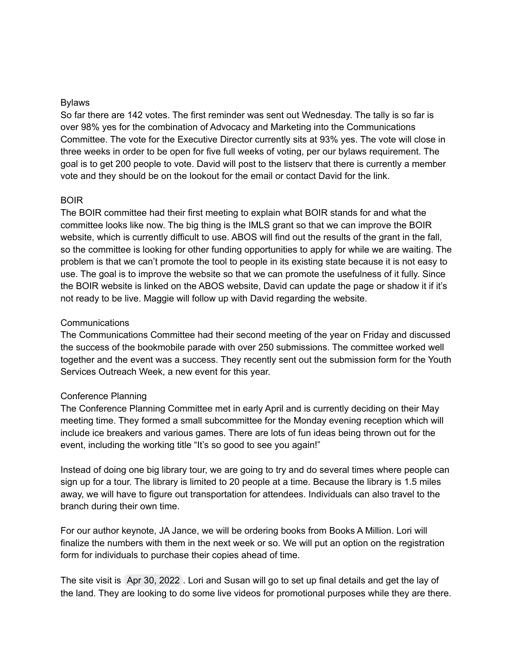#### Bylaws

So far there are 142 votes. The first reminder was sent out Wednesday. The tally is so far is over 98% yes for the combination of Advocacy and Marketing into the Communications Committee. The vote for the Executive Director currently sits at 93% yes. The vote will close in three weeks in order to be open for five full weeks of voting, per our bylaws requirement. The goal is to get 200 people to vote. David will post to the listserv that there is currently a member vote and they should be on the lookout for the email or contact David for the link.

#### BOIR

The BOIR committee had their first meeting to explain what BOIR stands for and what the committee looks like now. The big thing is the IMLS grant so that we can improve the BOIR website, which is currently difficult to use. ABOS will find out the results of the grant in the fall, so the committee is looking for other funding opportunities to apply for while we are waiting. The problem is that we can't promote the tool to people in its existing state because it is not easy to use. The goal is to improve the website so that we can promote the usefulness of it fully. Since the BOIR website is linked on the ABOS website, David can update the page or shadow it if it's not ready to be live. Maggie will follow up with David regarding the website.

#### Communications

The Communications Committee had their second meeting of the year on Friday and discussed the success of the bookmobile parade with over 250 submissions. The committee worked well together and the event was a success. They recently sent out the submission form for the Youth Services Outreach Week, a new event for this year.

### Conference Planning

The Conference Planning Committee met in early April and is currently deciding on their May meeting time. They formed a small subcommittee for the Monday evening reception which will include ice breakers and various games. There are lots of fun ideas being thrown out for the event, including the working title "It's so good to see you again!"

Instead of doing one big library tour, we are going to try and do several times where people can sign up for a tour. The library is limited to 20 people at a time. Because the library is 1.5 miles away, we will have to figure out transportation for attendees. Individuals can also travel to the branch during their own time.

For our author keynote, JA Jance, we will be ordering books from Books A Million. Lori will finalize the numbers with them in the next week or so. We will put an option on the registration form for individuals to purchase their copies ahead of time.

The site visit is Apr 30, 2022 . Lori and Susan will go to set up final details and get the lay of the land. They are looking to do some live videos for promotional purposes while they are there.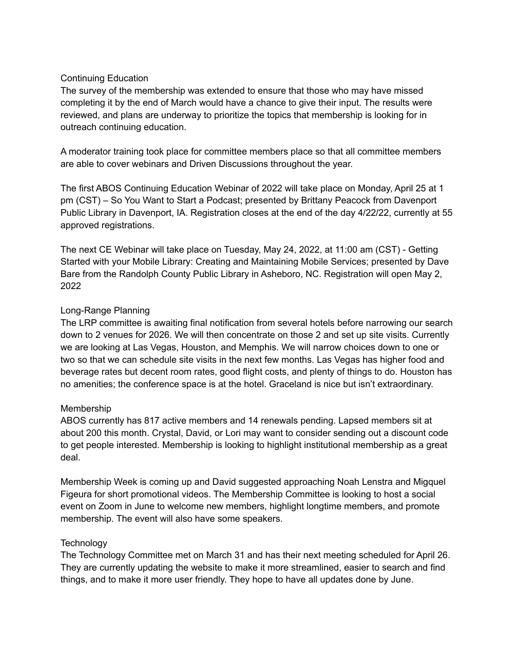# Continuing Education

The survey of the membership was extended to ensure that those who may have missed completing it by the end of March would have a chance to give their input. The results were reviewed, and plans are underway to prioritize the topics that membership is looking for in outreach continuing education.

A moderator training took place for committee members place so that all committee members are able to cover webinars and Driven Discussions throughout the year.

The first ABOS Continuing Education Webinar of 2022 will take place on Monday, April 25 at 1 pm (CST) – So You Want to Start a Podcast; presented by Brittany Peacock from Davenport Public Library in Davenport, IA. Registration closes at the end of the day 4/22/22, currently at 55 approved registrations.

The next CE Webinar will take place on Tuesday, May 24, 2022, at 11:00 am (CST) - Getting Started with your Mobile Library: Creating and Maintaining Mobile Services; presented by Dave Bare from the Randolph County Public Library in Asheboro, NC. Registration will open May 2, 2022

# Long-Range Planning

The LRP committee is awaiting final notification from several hotels before narrowing our search down to 2 venues for 2026. We will then concentrate on those 2 and set up site visits. Currently we are looking at Las Vegas, Houston, and Memphis. We will narrow choices down to one or two so that we can schedule site visits in the next few months. Las Vegas has higher food and beverage rates but decent room rates, good flight costs, and plenty of things to do. Houston has no amenities; the conference space is at the hotel. Graceland is nice but isn't extraordinary.

### Membership

ABOS currently has 817 active members and 14 renewals pending. Lapsed members sit at about 200 this month. Crystal, David, or Lori may want to consider sending out a discount code to get people interested. Membership is looking to highlight institutional membership as a great deal.

Membership Week is coming up and David suggested approaching Noah Lenstra and Migquel Figeura for short promotional videos. The Membership Committee is looking to host a social event on Zoom in June to welcome new members, highlight longtime members, and promote membership. The event will also have some speakers.

# **Technology**

The Technology Committee met on March 31 and has their next meeting scheduled for April 26. They are currently updating the website to make it more streamlined, easier to search and find things, and to make it more user friendly. They hope to have all updates done by June.